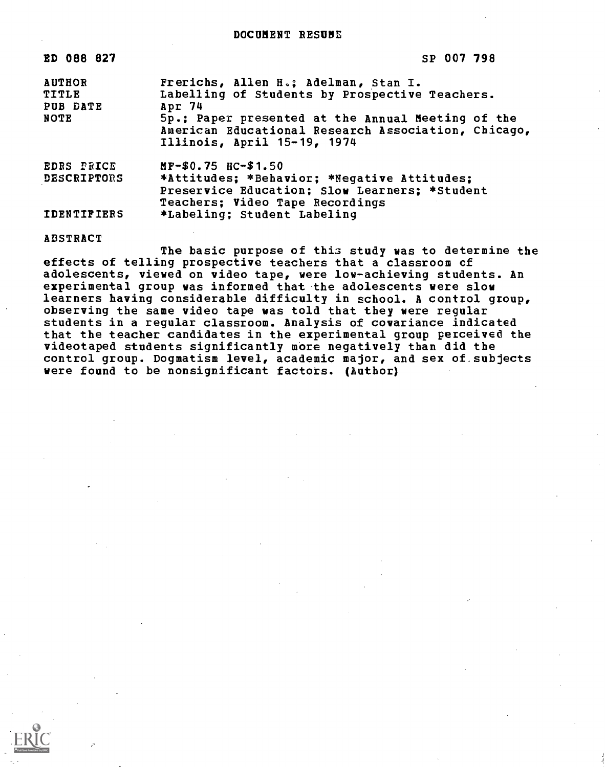| ED 088 827                                        | SP 007 798                                                                                                                                                                                                                                  |
|---------------------------------------------------|---------------------------------------------------------------------------------------------------------------------------------------------------------------------------------------------------------------------------------------------|
| <b>AUTHOR</b><br>TITLE<br>PUB DATE<br><b>NOTE</b> | Frerichs, Allen H.; Adelman, Stan I.<br>Labelling of Students by Prospective Teachers.<br>Apr 74<br>5p.; Paper presented at the Annual Meeting of the<br>American Educational Research Association, Chicago,<br>Illinois, April 15-19, 1974 |
| <b>EDRS PRICE</b><br><b>DESCRIPTORS</b>           | MF-\$0.75 HC-\$1.50<br>*Attitudes; *Behavior; *Negative Attitudes;<br>Preservice Education; Slow Learners; *Student<br>Teachers; Video Tape Recordings                                                                                      |
| <b>IDENTIFIERS</b>                                | *Labeling; Student Labeling                                                                                                                                                                                                                 |

#### ABSTRACT

The basic purpose of this study was to determine the effects of telling prospective teachers that a classroom cf adolescents, viewed on video tape, were low-achieving students. An experimental group was informed that the adolescents were slow learners having considerable difficulty in school. A control group, observing the same video tape was told that they were regular students in a regular classroom. Analysis of covariance indicated that the teacher candidates in the experimental group perceived the videotaped students significantly more negatively than did the control group. Dogmatism level, academic major, and sex of subjects were found to be nonsignificant factors. (Author)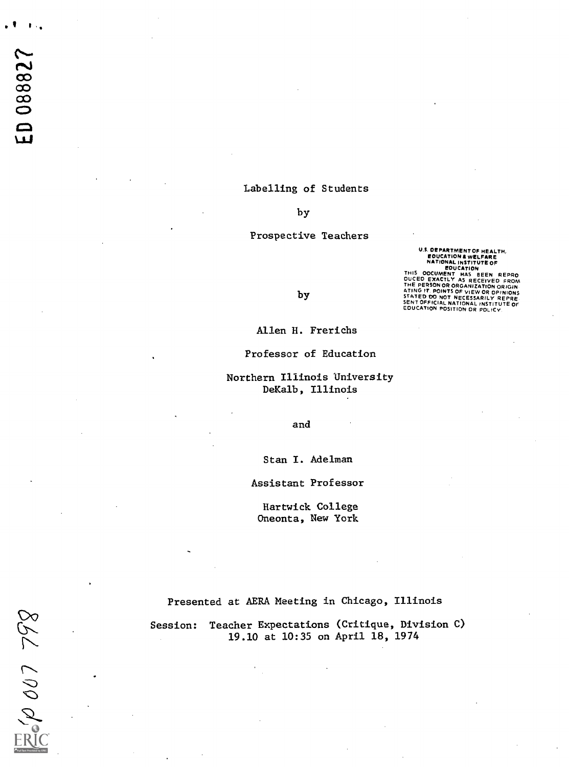## Labelling of Students

by

### Prospective Teachers

**U.S. DEPARTMENT OF HEALTH,<br>
EDUCATION & WELFARE<br>
NATIONAL INSTITUTE OF<br>
BOUCATION AND BOUCATION OF THIS<br>
DOCUMENT HAS BEEN REPRO<br>
DUCED EXACTLY AS RECEIVED FROM<br>
THE PERSON OR ORGANIZATION ORIGINAL THE PERTENT OF NICESSAR** 

by

Allen H. Frerichs

Professor of Education

Northern Illinois University DeKalb, Illinois

and

Stan I. Adelman

Assistant Professor

Hartwick College Oneonta, New York

Presented at AERA Meeting in Chicago, Illinois

Session: Teacher Expectations (Critique, Division C) 19.10 at 10:35 on April 18, 1974

ERG 007 798

I 1

ED 088827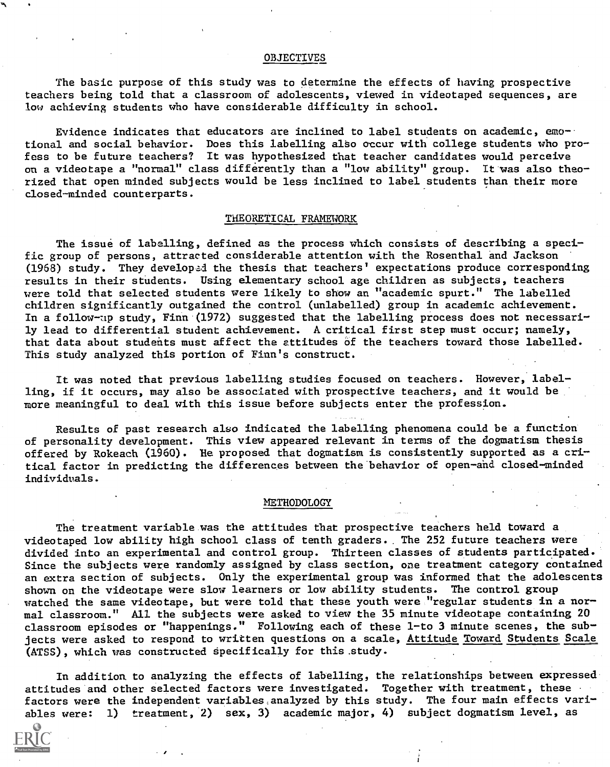#### OBJECTIVES

The basic purpose of this study was to determine the effects of having prospective teachers being told that a classroom of adolescents, viewed in videotaped sequences, are low achieving students who have considerable difficulty in school.

Evidence indicates that educators are inclined to label students on academic, emotional and social behavior. Does this labelling also occur with college students who profess to be future teachers? It was hypothesized that teacher candidates would perceive on a videotape a "normal" class differently than a "low ability" group. It was also theorized that open minded subjects would be less inclined to label students than their more closed-minded counterparts.

#### THEORETICAL FRAMEWORK

The issue of labelling, defined as the process which consists of describing a specific group of persons, attracted considerable attention with the Rosenthal and Jackson (1968) study. They developad the thesis that teachers' expectations produce corresponding results in their students. Using elementary school age children as subjects, teachers were told that selected students were likely to show an "academic spurt." The labelled children significantly outgained the control (unlabelled) group in academic achievement. In a follow-up study, Finn (1972) suggested that the labelling process does not necessarily lead to differential student achievement. A critical first step must occur; namely, that data about students must affect the attitudes of the teachers toward those labelled. This study analyzed this portion of Finn's construct.

It was noted that previous labelling studies focused on teachers. However, labelling, if it occurs, may also be associated with prospective teachers, and it would be more meaningful to deal with this issue before subjects enter the profession.

Results of past research also indicated the labelling phenomena could be a function of personality development. This view appeared relevant in terms of the dogmatism thesis offered by Rokeach (1960). He proposed that dogmatism is consistently supported as a critical factor in predicting the differences between the behavior of open-and closed-minded individuals.

#### **METHODOLOGY**

The treatment variable was the attitudes that prospective teachers held toward a videotaped low ability high school class of tenth graders.. The 252 future teachers were divided into an experimental and control group. Thirteen classes of students participated. Since the subjects were randomly assigned by class section, one treatment category contained an extra section of subjects. Only the experimental group was informed that the adolescents shown on the videotape were slow learners or low ability students. The control group watched the same videotape, but were told that these youth were "regular students in a normal classroom." All the subjects were asked to view the 35 minute videotape containing 20 classroom episodes or "happenings." Following each of these 1-to 3 minute scenes, the subjects were asked to respond to written questions on a scale, Attitude Toward Students Scale (ATSS), which was constructed specifically for this .study.

In addition to analyzing the effects of labelling, the relationships between expressed attitudes and other selected factors were investigated. Together with treatment, these factors were the independent variables analyzed by this study. The four main effects variables were: 1) treatment, 2) sex, 3) academic major, 4) subject dogmatism level, as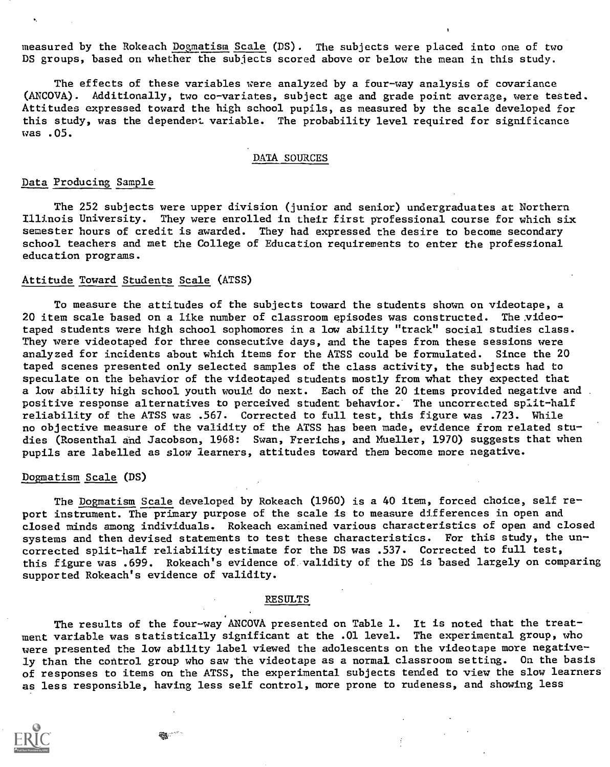measured by the Rokeach Dogmatism Scale (DS). The subjects were placed into one of two DS groups, based on whether the subjects scored above or below the mean in this study.

The effects of these variables were analyzed by a four-way analysis of covariance (ANCOVA). Additionally, two co-variates, subject age and grade point average, were tested. Attitudes expressed toward the high school pupils, as measured by the scale developed for this study, was the dependent variable. The probability level required for significance was .05.

# DATA SOURCES

## Data Producing Sample

The 252 subjects were upper division (junior and senior) undergraduates at Northern Illinois University. They were enrolled in their first professional course for which six semester hours of credit is awarded. They had expressed the desire to become secondary school teachers and met the College of Education requirements to enter the professional education programs.

# Attitude Toward Students Scale (ATSS)

To measure the attitudes of the subjects toward the students shown on videotape, a 20 item scale based on a like number of classroom episodes was constructed. The videotaped students were high school sophomores in a low ability "track" social studies class. They were videotaped for three consecutive days, and the tapes from these sessions were analyzed for incidents about which items for the ATSS could be formulated. Since the 20 taped scenes presented only selected samples of the class activity, the subjects had to speculate on the behavior of the videotaped students mostly from what they expected that a low ability high school youth would do next. Each of the 20 items provided negative and. positive response alternatives to perceived student behavior. The uncorrected split-half reliability of the ATSS was .567. Corrected to full test, this figure was .723. While no objective measure of the validity of the ATSS has been made, evidence from related studies (Rosenthal and Jacobson, 1968: Swan, Frerichs, and Mueller, 1970) suggests that when pupils are labelled as slow learners, attitudes toward them become more negative.

## Dogmatism Scale (DS)

The Dogmatism Scale developed by Rokeach (1960) is a 40 item, forced choice, self report instrument. The primary purpose of the scale is to measure differences in open and closed minds among individuals. Rokeach examined various characteristics of open and closed systems and then devised statements to test these characteristics. For this study, the uncorrected split-half reliability estimate for the DS was .537. Corrected to full test, this figure was .699. Rokeach's evidence of validity of the DS is based largely on comparing supported Rokeach's evidence of validity.

#### RESULTS

The results of the four-way ANCOVA presented on Table 1. It is noted that the treatment variable was statistically significant at the .01 level. The experimental group, who were presented the low ability label viewed the adolescents on the videotape more negatively than the control group who saw the videotape as a normal classroom setting. On the basis of responses to items on the ATSS, the experimental subjects tended to view the slow learners as less responsible, having less self control, more prone to rudeness, and showing less

 $\boldsymbol{i}$ 

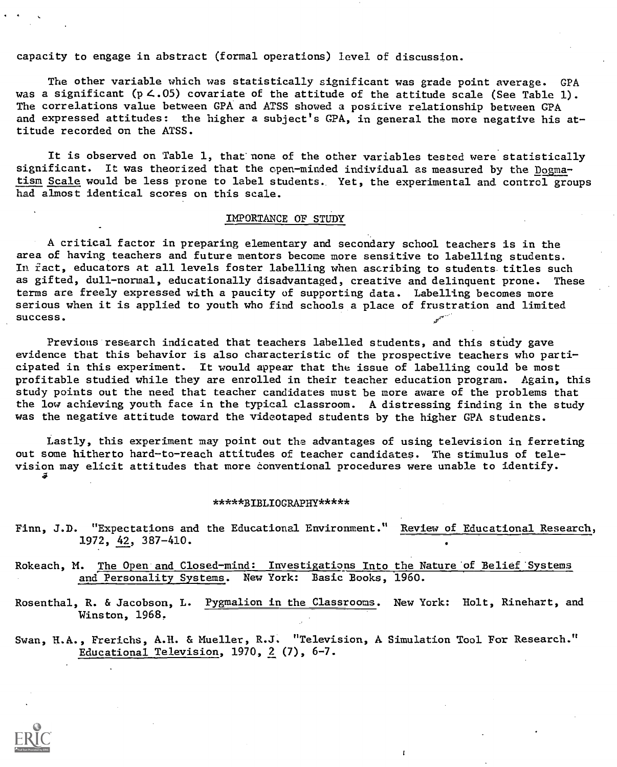capacity to engage in abstract (formal operations) level of discussion.

The other variable which was statistically significant was grade point average. GPA was a significant (p  $\lt.05$ ) covariate of the attitude of the attitude scale (See Table 1). The correlations value between GPA and ATSS showed a positive relationship between GPA and expressed attitudes: the higher a subject's GPA, in general the more negative his attitude recorded on the ATSS.

It is observed on 'Table 1, that none of the other variables tested were statistically significant. It was theorized that the open-minded individual as measured by the Dogmatism Scale would be less prone to label students. Yet, the experimental and control groups had almost identical scores on this scale.

### IMPORTANCE OF STUDY

A critical factor in preparing elementary and secondary school teachers is in the area of having teachers and future mentors become more sensitive to labelling students. In fact, educators at all levels foster labelling when ascribing to students titles such as gifted, dull-normal, educationally disadvantaged, creative and delinquent prone. These terms are freely expressed with a paucity of supporting data. Labelling becomes more serious when it is applied to youth who find schools a place of frustration and limited success.

Previous research indicated that teachers labelled students, and this study gave evidence that this behavior is also characteristic of the prospective teachers who participated in this experiment. It would appear that the issue of labelling could be most profitable studied while they are enrolled in their teacher education program. Again, this study points out the need that teacher candidates must be more aware of the problems that the low achieving youth face in the typical classroom. A distressing finding in the study was the negative attitude toward the videotaped students by the higher GPA students.

Lastly, this experiment may point out the advantages of using television in ferreting out some hitherto hard-to-reach attitudes of teacher candidates. The stimulus of television may elicit attitudes that more conventional procedures were unable to identify.

#### \*\*\*\*\*BIBLIOGRAPHY\*\*\*\*\*

Finn, J.D. "Expectations and the Educational Environment." Review of Educational Research, 1972, 42, 387-410.

Rokeach, M. The Open and Closed-mind: Investigations Into the Nature of Belief Systems and Personality Systems. New York: Basic Books, 1960.

Rosenthal, R. & Jacobson, L. Pygmalion in the Classrooms. New York: Holt, Rinehart, and Winston, 1968,

Swan, H.A., Frerichs, A.H. & Mueller, R.J. "Television, A Simulation Tool For Research." Educational Television, 1970, 2 (7), 6-7.